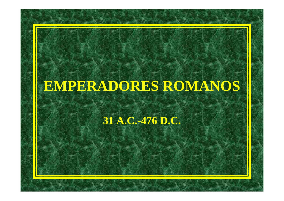## **EMPERADORES ROMANOS**

## **31 A.C.-476 D.C.**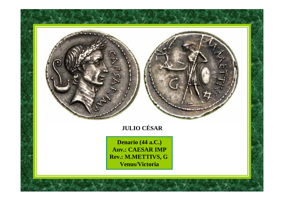

**Denario (44 a.C.) Anv.: CAESAR IMP Rev.: M.METTIVS, G Venus/Victoria**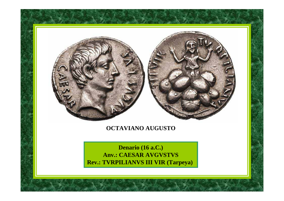

## **OCTAVIANO AUGUSTO**

**Denario (16 a.C.) Anv.: CAESAR AVGVSTVS Rev.: TVRPILIANVS III VIR (Tarpeya)**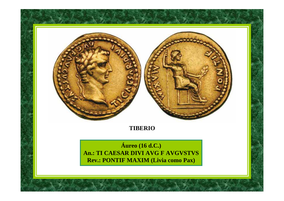

## **TIBERIO**

**Áureo** (16 d.C.) **An.: TI CAESAR DIVI AVG F AVGVSTVS** Rev.: PONTIF MAXIM (Livia como Pax)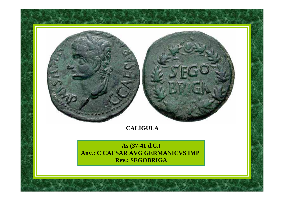

## **CALÍGULA**

**As (37-41 d.C.) Anv.: C CAESAR AVG GERMANICVS IMP Rev.: SEGOBRIGA**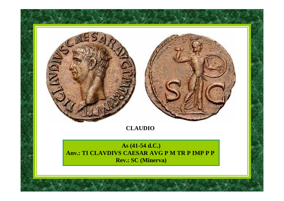

## **CLAUDIO**

**As (41-54 d.C.) Anv.: TI CLAVDIVS CAESAR AVG P M TR P IMP P P Rev.: SC (Minerva)**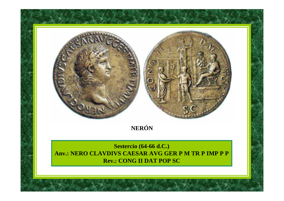## **NERÓN**

**Sestercio (64-66 d.C.) Anv.: NERO CLAVDIVS CAESAR AVG GER P M TR P IMP P P Rev.: CONG II DAT POP SC**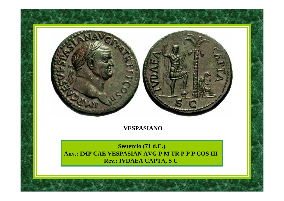

## **VESPASIANO**

**Sestercio (71 d.C.) Anv.: IMP CAE VESPASIAN AVG P M TR P P P COS III Rev.: IVDAEA CAPTA, S C**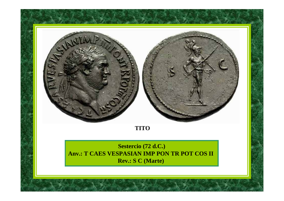

## **TITO**

**Sestercio (72 d.C.) Anv.: T CAES VESPASIAN IMP PON TR POT COS II Rev.: S C (Marte)**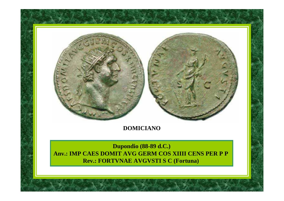## **DOMICIANO**

**Dupondio (88-89 d.C.) Anv.: IMP CAES DOMIT AVG GERM COS XIIII CENS PER P P Rev.: FORTVNAE AVGVSTI S C (Fortuna)**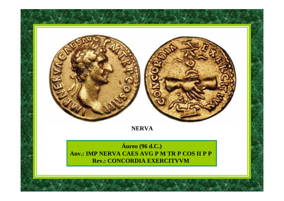

## **NERVA**

**Áureo** (96 d.C.) Anv.: IMP NERVA CAES AVG P M TR P COS II P P **Rev.: CONCORDIA EXERCITVVM**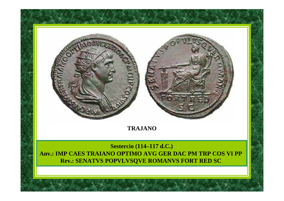

## **TRAJANO**

**Sestercio (114–117 d.C.) Anv.: IMP CAES TRAIANO OPTIMO AVG GER DAC PM TRP COS VI PP Rev.: SENATVS POPVLVSQVE ROMANVS FORT RED SC**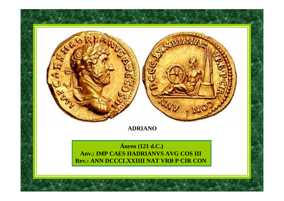

## **ADRIANO**

## **Áureo** (121 d.C.) **Anv.: IMP CAES HADRIANVS AVG COS III Rev.: ANN DCCCLXXIIII NAT VRB P CIR CON**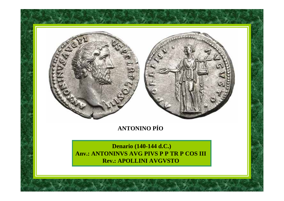

## **ANTONINO PÍO**

**Denario (140-144 d.C.) Anv.: ANTONINVS AVG PIVS P P TR P COS III Rev.: APOLLINI AVGVSTO**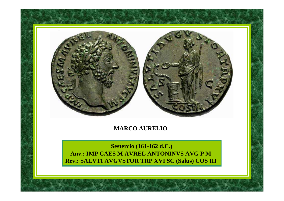

## **MARCO AURELIO**

**Sestercio (161-162 d.C.) Anv.: IMP CAES M AVREL ANTONINVS AVG P M Rev.: SALVTI AVGVSTOR TRP XVI SC (Salus) COS III**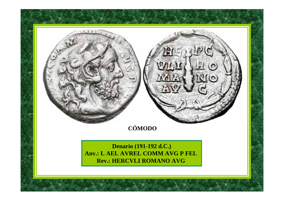# **CÓMODO**

**Denario (191-192 d.C.) Anv.: L AEL AVREL COMM AVG P FEL Rev.: HERCVLI ROMANO AVG**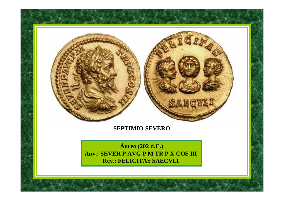

## **SEPTIMIO SEVERO**

**Áureo** (202 d.C.) **Anv.: SEVER P AVG P M TR P X COS III Rev.: FELICITAS SAECVLI**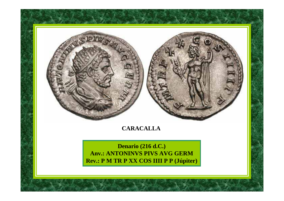## **CARACALLA**

**Denario (216 d.C.) Anv.: ANTONINVS PIVS AVG GERM Rev.: P M TR P XX COS IIII P P (Júpiter)**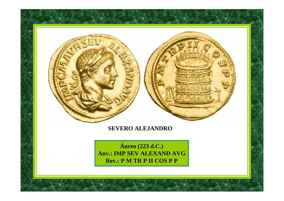## **SEVERO ALEJANDRO**

**Áureo** (223 d.C.) **Anv.: IMP SEV ALEXAND AVG Rev.: P M TR P II COS P P**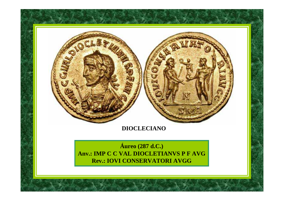## **SADCLE**

## **DIOCLECIANO**

**Áureo** (287 d.C.) Anv.: IMP C C VAL DIOCLETIANVS P F AVG **Rev.: IOVI CONSERVATORI AVGG**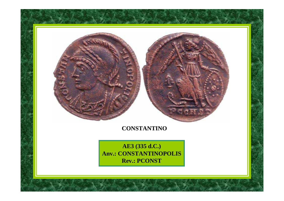## **CONSTANTINO**

**AE3 (335 d.C.) Anv.: CONSTANTINOPOLIS Rev.: PCONST**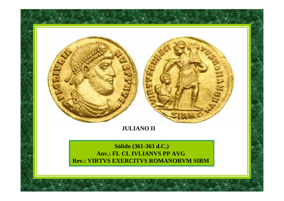

## **JULIANO II**

## **Sólido (361-363 d.C.) Anv.: FL CL IVLIANVS PP AVG Rev.: VIRTVS EXERCITVS ROMANORVM SIRM**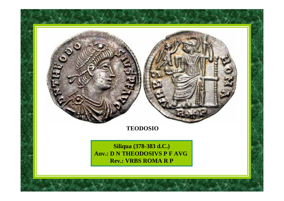## **TEODOSIO**

**Siliqua (378-383 d.C.) Anv.: D N THEODOSIVS P F AVG Rev.: VRBS ROMA R P**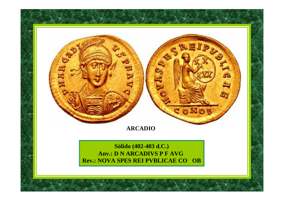## $\tilde{a}$ **ARCADIOSólido (402-403 d.C.) Anv.: D N ARCADIVS P F AVG**

**Rev.: NOVA SPES REI PVBLICAE CO OB**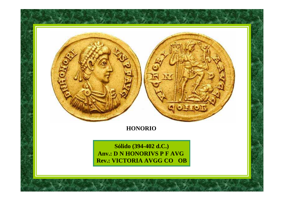

## **HONORIO**

**Sólido (394-402 d.C.) Anv.: D N HONORIVS P F AVG Rev.: VICTORIA AVGG CO OB**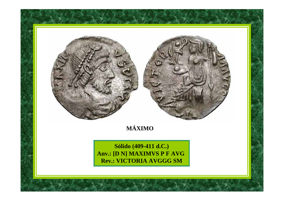

## **MÁXIMO**

**Sólido (409-411 d.C.) Anv.: [D N] MAXIMVS P F AVG Rev.: VICTORIA AVGGG SM**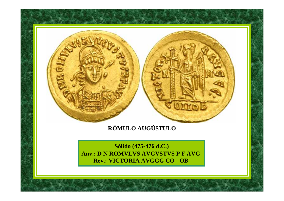## **RÓMULO AUGÚSTULO**

**Sólido (475-476 d.C.) Anv.: D N ROMVLVS AVGVSTVS P F AVG Rev.: VICTORIA AVGGG CO OB**